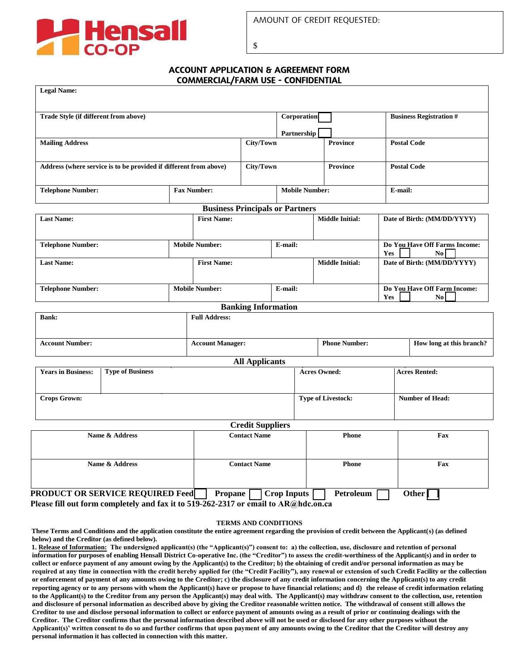

\$

## ACCOUNT APPLICATION & AGREEMENT FORM COMMERCIAL/FARM USE - CONFIDENTIAL

| <b>Legal Name:</b>                                                |                                                                                                                                |                                             |                                        |                                                |                        |                                   |                                            |     |                                |
|-------------------------------------------------------------------|--------------------------------------------------------------------------------------------------------------------------------|---------------------------------------------|----------------------------------------|------------------------------------------------|------------------------|-----------------------------------|--------------------------------------------|-----|--------------------------------|
| Trade Style (if different from above)                             |                                                                                                                                |                                             |                                        |                                                |                        | <b>Corporation</b><br>Partnership |                                            |     | <b>Business Registration #</b> |
| <b>Mailing Address</b>                                            |                                                                                                                                |                                             |                                        | City/Town                                      |                        |                                   | <b>Province</b>                            |     | <b>Postal Code</b>             |
| Address (where service is to be provided if different from above) |                                                                                                                                |                                             |                                        | City/Town                                      |                        |                                   | <b>Province</b>                            |     | <b>Postal Code</b>             |
| <b>Telephone Number:</b>                                          |                                                                                                                                | <b>Mobile Number:</b><br><b>Fax Number:</b> |                                        |                                                |                        |                                   | E-mail:                                    |     |                                |
|                                                                   |                                                                                                                                |                                             | <b>Business Principals or Partners</b> |                                                |                        |                                   |                                            |     |                                |
| <b>Last Name:</b>                                                 |                                                                                                                                | <b>First Name:</b>                          |                                        |                                                | <b>Middle Initial:</b> |                                   | Date of Birth: (MM/DD/YYYY)                |     |                                |
| <b>Telephone Number:</b>                                          |                                                                                                                                | <b>Mobile Number:</b><br>E-mail:            |                                        |                                                |                        |                                   | Do You Have Off Farms Income:<br>Yes<br>No |     |                                |
| <b>Last Name:</b>                                                 |                                                                                                                                | <b>First Name:</b>                          |                                        |                                                | <b>Middle Initial:</b> |                                   | Date of Birth: (MM/DD/YYYY)                |     |                                |
| <b>Telephone Number:</b>                                          |                                                                                                                                | <b>Mobile Number:</b><br>E-mail:            |                                        |                                                | Yes                    |                                   | Do You Have Off Farm Income:<br>No.        |     |                                |
|                                                                   |                                                                                                                                |                                             |                                        | <b>Banking Information</b>                     |                        |                                   |                                            |     |                                |
| <b>Bank:</b>                                                      |                                                                                                                                |                                             | <b>Full Address:</b>                   |                                                |                        |                                   |                                            |     |                                |
| <b>Account Number:</b>                                            |                                                                                                                                | <b>Account Manager:</b>                     |                                        |                                                | <b>Phone Number:</b>   |                                   | How long at this branch?                   |     |                                |
|                                                                   |                                                                                                                                |                                             |                                        | <b>All Applicants</b>                          |                        |                                   |                                            |     |                                |
| <b>Years in Business:</b>                                         | <b>Type of Business</b>                                                                                                        |                                             |                                        | <b>Acres Owned:</b>                            |                        |                                   | <b>Acres Rented:</b>                       |     |                                |
| <b>Crops Grown:</b>                                               |                                                                                                                                |                                             |                                        |                                                |                        |                                   | <b>Type of Livestock:</b>                  |     | <b>Number of Head:</b>         |
|                                                                   |                                                                                                                                |                                             |                                        |                                                |                        |                                   |                                            |     |                                |
| Name & Address                                                    |                                                                                                                                |                                             |                                        | <b>Credit Suppliers</b><br><b>Contact Name</b> |                        |                                   | Phone                                      |     | Fax                            |
|                                                                   |                                                                                                                                |                                             |                                        |                                                |                        |                                   |                                            |     |                                |
| Name & Address                                                    |                                                                                                                                |                                             | <b>Contact Name</b>                    |                                                |                        | <b>Phone</b>                      |                                            | Fax |                                |
|                                                                   | <b>PRODUCT OR SERVICE REQUIRED Feed</b><br>Please fill out form completely and fax it to 519-262-2317 or email to AR@hdc.on.ca |                                             | Propane                                |                                                | <b>Crop Inputs</b>     |                                   | Petroleum                                  |     | Other <sup>[</sup>             |

## **TERMS AND CONDITIONS**

**These Terms and Conditions and the application constitute the entire agreement regarding the provision of credit between the Applicant(s) (as defined below) and the Creditor (as defined below).** 

**1. Release of Information: The undersigned applicant(s) (the "Applicant(s)") consent to: a) the collection, use, disclosure and retention of personal information for purposes of enabling Hensall District Co-operative Inc. (the "Creditor") to assess the credit-worthiness of the Applicant(s) and in order to collect or enforce payment of any amount owing by the Applicant(s) to the Creditor; b) the obtaining of credit and/or personal information as may be required at any time in connection with the credit hereby applied for (the "Credit Facility"), any renewal or extension of such Credit Facility or the collection or enforcement of payment of any amounts owing to the Creditor; c) the disclosure of any credit information concerning the Applicant(s) to any credit reporting agency or to any persons with whom the Applicant(s) have or propose to have financial relations; and d) the release of credit information relating to the Applicant(s) to the Creditor from any person the Applicant(s) may deal with. The Applicant(s) may withdraw consent to the collection, use, retention and disclosure of personal information as described above by giving the Creditor reasonable written notice. The withdrawal of consent still allows the Creditor to use and disclose personal information to collect or enforce payment of amounts owing as a result of prior or continuing dealings with the Creditor. The Creditor confirms that the personal information described above will not be used or disclosed for any other purposes without the Applicant(s)' written consent to do so and further confirms that upon payment of any amounts owing to the Creditor that the Creditor will destroy any personal information it has collected in connection with this matter.**